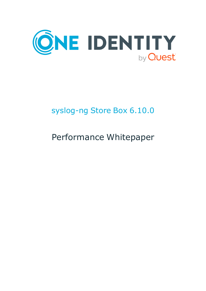

# syslog-ng Store Box 6.10.0

# Performance Whitepaper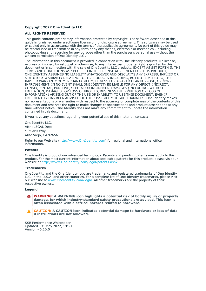#### **Copyright 2022 One Identity LLC.**

#### **ALL RIGHTS RESERVED.**

This guide contains proprietary information protected by copyright. The software described in this guide is furnished under a software license or nondisclosure agreement. This software may be used or copied only in accordance with the terms of the applicable agreement. No part of this guide may be reproduced or transmitted in any form or by any means, electronic or mechanical, including photocopying and recording for any purpose other than the purchaser's personal use without the written permission of One Identity LLC .

The information in this document is provided in connection with One Identity products. No license, express or implied, by estoppel or otherwise, to any intellectual property right is granted by this document or in connection with the sale of One Identity LLC products. EXCEPT AS SET FORTH IN THE TERMS AND CONDITIONS AS SPECIFIED IN THE LICENSE AGREEMENT FOR THIS PRODUCT, ONE IDENTITY ASSUMES NO LIABILITY WHATSOEVER AND DISCLAIMS ANY EXPRESS, IMPLIED OR STATUTORY WARRANTY RELATING TO ITS PRODUCTS INCLUDING, BUT NOT LIMITED TO, THE IMPLIED WARRANTY OF MERCHANTABILITY, FITNESS FOR A PARTICULAR PURPOSE, OR NON-INFRINGEMENT. IN NO EVENT SHALL ONE IDENTITY BE LIABLE FOR ANY DIRECT, INDIRECT, CONSEQUENTIAL, PUNITIVE, SPECIAL OR INCIDENTAL DAMAGES (INCLUDING, WITHOUT LIMITATION, DAMAGES FOR LOSS OF PROFITS, BUSINESS INTERRUPTION OR LOSS OF INFORMATION) ARISING OUT OF THE USE OR INABILITY TO USE THIS DOCUMENT, EVEN IF ONE IDENTITY HAS BEEN ADVISED OF THE POSSIBILITY OF SUCH DAMAGES. One Identity makes no representations or warranties with respect to the accuracy or completeness of the contents of this document and reserves the right to make changes to specifications and product descriptions at any time without notice. One Identity does not make any commitment to update the information contained in this document.

If you have any questions regarding your potential use of this material, contact:

One Identity LLC. Attn: LEGAL Dept 4 Polaris Way Aliso Viejo, CA 92656

Refer to our Web site [\(http://www.OneIdentity.com](http://www.oneidentity.com/)) for regional and international office information.

#### **Patents**

One Identity is proud of our advanced technology. Patents and pending patents may apply to this product. For the most current information about applicable patents for this product, please visit our website at [http://www.OneIdentity.com/legal/patents.aspx.](http://www.oneidentity.com/legal/patents.aspx)

#### **Trademarks**

One Identity and the One Identity logo are trademarks and registered trademarks of One Identity LLC. in the U.S.A. and other countries. For a complete list of One Identity trademarks, please visit our website at [www.OneIdentity.com/legal](http://www.oneidentity.com/legal). All other trademarks are the property of their respective owners.

#### **Legend**

**WARNING: A WARNING icon highlights a potential risk of bodily injury or property** œ **damage, for which industry-standard safety precautions are advised. This icon is often associated with electrical hazards related to hardware.**

**CAUTION: A CAUTION icon indicates potential damage to hardware or loss of data if instructions are not followed.**

SSB Performance Whitepaper Updated - 31 May 2022, 19:21 Version - 6.10.0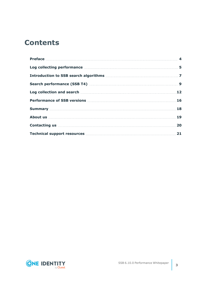## **Contents**

| Log collecting performance manufactured and 5                                                                                                                                                                                        |  |
|--------------------------------------------------------------------------------------------------------------------------------------------------------------------------------------------------------------------------------------|--|
|                                                                                                                                                                                                                                      |  |
|                                                                                                                                                                                                                                      |  |
|                                                                                                                                                                                                                                      |  |
|                                                                                                                                                                                                                                      |  |
| <b>Summary</b> 28                                                                                                                                                                                                                    |  |
|                                                                                                                                                                                                                                      |  |
| <b>Contacting us 20 All and 20 All and 20 All and 20 All and 20 All and 20 All and 20 All and 20 All and 20 All and 20 All and 20 All and 20 All and 20 All and 20 All and 20 All and 20 All and 20 All and 20 All and 20 All an</b> |  |
| Technical support resources <b>Manual Excess Excess</b> 21                                                                                                                                                                           |  |

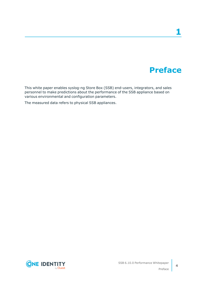## **Preface**

**1**

<span id="page-3-0"></span>This white paper enables syslog-ng Store Box (SSB) end-users, integrators, and sales personnel to make predictions about the performance of the SSB appliance based on various environmental and configuration parameters.

The measured data refers to physical SSB appliances.



Preface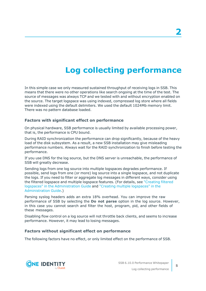## **Log collecting performance**

<span id="page-4-0"></span>In this simple case we only measured sustained throughput of receiving logs in SSB. This means that there were no other operations like search ongoing at the time of the test. The source of messages was always TCP and we tested with and without encryption enabled on the source. The target logspace was using indexed, compressed log store where all fields were indexed using the default delimiters. We used the default 1024Mb memory limit. There was no pattern database loaded.

### **Factors with significant effect on performance**

On physical hardware, SSB performance is usually limited by available processing power, that is, the performance is CPU bound.

During RAID synchronization the performance can drop significantly, because of the heavy load of the disk subsystem. As a result, a new SSB installation may give misleading performance numbers. Always wait for the RAID synchronization to finish before testing the performance.

If you use DNS for the log source, but the DNS server is unreachable, the performance of SSB will greatly decrease.

Sending logs from one log source into multiple logspaces degrades performance. If possible, send logs from one (or more) log source into a single logspace, and not duplicate the logs. If you need to filter or aggregate log messages in different ways, consider using the filtered logspace and multiple logspace features. (For details, see ["Creating](https://support.oneidentity.com/technical-documents/syslog-ng-store-box/6.10.0/administration-guide/storing-messages-on-ssb/creating-filtered-logspaces/) filtered logspaces" in the [Administration](https://support.oneidentity.com/technical-documents/syslog-ng-store-box/6.10.0/administration-guide/storing-messages-on-ssb/creating-filtered-logspaces/) Guide and "Creating multiple [logspaces"](https://support.oneidentity.com/technical-documents/syslog-ng-store-box/6.10.0/administration-guide/storing-messages-on-ssb/creating-multiple-logspaces/) in the [Administration](https://support.oneidentity.com/technical-documents/syslog-ng-store-box/6.10.0/administration-guide/storing-messages-on-ssb/creating-multiple-logspaces/) Guide.)

Parsing syslog headers adds an extra 18% overhead. You can improve the raw performance of SSB by selecting the **Do not parse** option in the log source. However, in this case you cannot search and filter the host, program, pid, and other fields of these messages.

Disabling flow control on a log source will not throttle back clients, and seems to increase performance. However, it may lead to losing messages.

#### **Factors without significant effect on performance**

The following factors have no effect, or only limited effect on the performance of SSB.

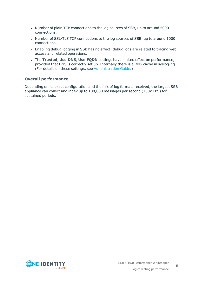- Number of plain TCP connections to the log sources of SSB, up to around 5000 connections.
- Number of SSL/TLS TCP connections to the log sources of SSB, up to around 1000 connections.
- Enabling debug logging in SSB has no effect: debug logs are related to tracing web access and related operations.
- <sup>l</sup> The **Trusted**, **Use DNS**, **Use FQDN** settings have limited effect on performance, provided that DNS is correctly set up. Internally there is a DNS cache in syslog-ng. (For details on these settings, see [Administration](https://support.oneidentity.com/technical-documents/syslog-ng-store-box/6.10.0/administration-guide//) Guide.)

### **Overall performance**

Depending on its exact configuration and the mix of log formats received, the largest SSB appliance can collect and index up to 100,000 messages per second (100k EPS) for sustained periods.

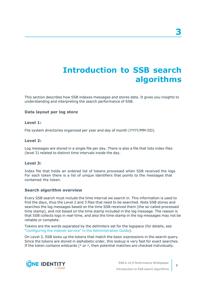## **Introduction to SSB search algorithms**

<span id="page-6-0"></span>This section describes how SSB indexes messages and stores data. It gives you insights to understanding and interpreting the search performance of SSB.

### **Data layout per log store**

#### **Level 1:**

File system directories organized per year and day of month (YYYY/MM-DD).

#### **Level 2:**

Log messages are stored in a single file per day. There is also a file that lists index files (level 3) related to distinct time intervals inside the day.

#### **Level 3:**

Index file that holds an ordered list of tokens processed when SSB received the logs. For each token there is a list of unique identifiers that points to the messages that contained the token.

#### **Search algorithm overview**

Every SSB search must include the time interval we search in. This information is used to find the days, thus the Level 2 and 3 files that need to be searched. Note SSB stores and searches the log messages based on the time SSB received them (the so-called processed time stamp), and not based on the time stamp included in the log message. The reason is that SSB collects logs in real-time, and also the time stamp in the log messages may not be reliable or complete.

Tokens are the words separated by the delimiters set for the logspace (for details, see "Configuring the indexer service" in the [Administration](https://support.oneidentity.com/technical-documents/syslog-ng-store-box/6.10.0/administration-guide/storing-messages-on-ssb/using-logstores/configuring-the-indexer-service/) Guide).

On Level 3, SSB looks up the tokens that match the basic expressions in the search query. Since the tokens are stored in alphabetic order, this lookup is very fast for exact searches. If the token contains wildcards (\* or ?, then potential matches are checked individually.



**7**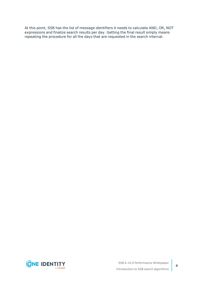At this point, SSB has the list of message identifiers it needs to calculate AND, OR, NOT expressions and finalize search results per day. Getting the final result simply means repeating the procedure for all the days that are requested in the search interval.

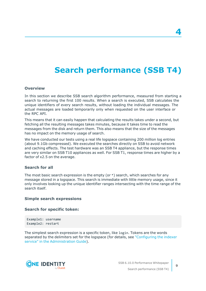## **Search performance (SSB T4)**

#### <span id="page-8-0"></span>**Overview**

In this section we describe SSB search algorithm performance, measured from starting a search to returning the first 100 results. When a search is executed, SSB calculates the unique identifiers of every search results, without loading the individual messages. The actual messages are loaded temporarily only when requested on the user interface or the RPC API.

This means that it can easily happen that calculating the results takes under a second, but fetching all the resulting messages takes minutes, because it takes time to read the messages from the disk and return them. This also means that the size of the messages has no impact on the memory usage of search.

We have conducted our tests using a real life logspace containing 200 million log entries (about 9.1Gb compressed). We executed the searches directly on SSB to avoid network and caching effects. The test hardware was an SSB T4 appliance, but the response times are very similar on SSB T10 appliances as well. For SSB T1, response times are higher by a factor of x2.5 on the average.

### **Search for all**

The most basic search expression is the empty (or  $*$ ) search, which searches for any message stored in a logspace. This search is immediate with little memory usage, since it only involves looking up the unique identifier ranges intersecting with the time range of the search itself.

#### **Simple search expressions**

#### **Search for specific token:**

Example1: username Example2: restart

The simplest search expression is a specific token, like login. Tokens are the words separated by the delimiters set for the logspace (for details, see ["Configuring](https://support.oneidentity.com/technical-documents/syslog-ng-store-box/6.10.0/administration-guide/storing-messages-on-ssb/using-logstores/configuring-the-indexer-service/) the indexer service" in the [Administration](https://support.oneidentity.com/technical-documents/syslog-ng-store-box/6.10.0/administration-guide/storing-messages-on-ssb/using-logstores/configuring-the-indexer-service/) Guide).



SSB 6.10.0 Performance Whitepaper Search performance (SSB T4)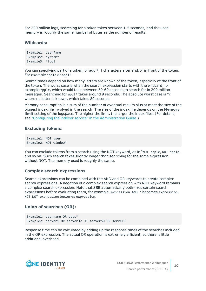For 200 million logs, searching for a token takes between 1-5 seconds, and the used memory is roughly the same number of bytes as the number of results.

#### **Wildcards:**

```
Example1: user?ame
Example2: system*
Example3: *tool
```
You can specifying part of a token, or add  $*$ , ? characters after and/or in front of the token. For example \*pple or appl?.

Search times depend on how many letters are known of the token, especially at the front of the token. The worst case is when the search expression starts with the wildcard, for example \*pple, which would take between 30-60 seconds to search for in 200 million messages. Searching for appl\* takes around 9 seconds. The absolute worst case is \*? where no letter is known, which takes 80 seconds.

Memory consumption is a sum of the number of eventual results plus at most the size of the biggest index file involved in the search. The size of the index file depends on the **Memory limit** setting of the logspace. The higher the limit, the larger the index files. (For details, see "Configuring the indexer service" in the [Administration](https://support.oneidentity.com/technical-documents/syslog-ng-store-box/6.10.0/administration-guide/storing-messages-on-ssb/using-logstores/configuring-the-indexer-service/) Guide.)

### **Excluding tokens:**

```
Example1: NOT user
Example2: NOT window*
```
You can exclude tokens from a search using the NOT keyword, as in "NOT apple, NOT \*pple, and so on. Such search takes slightly longer than searching for the same expression without NOT. The memory used is roughly the same.

#### **Complex search expressions**

Search expressions can be combined with the AND and OR keywords to create complex search expressions. A negation of a complex search expression with NOT keyword remains a complex search expression. Note that SSB automatically optimizes certain search expressions before evaluating them, for example, expression AND \* becomes expression, NOT NOT expression becomes expression.

#### **Union of searches (OR):**

```
Example1: username OR pass*
Example2: server1 OR server32 OR server50 OR server3
```
Response time can be calculated by adding up the response times of the searches included in the OR expression. The actual OR operation is extremely efficient, so there is little additional overhead.

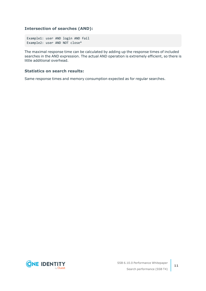### **Intersection of searches (AND):**

Example1: user AND login AND fail Example2: user AND NOT close\*

The maximal response time can be calculated by adding up the response times of included searches in the AND expression. The actual AND operation is extremely efficient, so there is little additional overhead.

### **Statistics on search results:**

Same response times and memory consumption expected as for regular searches.

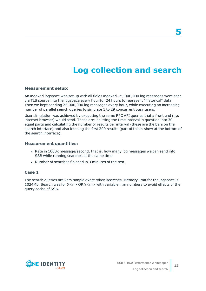## **Log collection and search**

#### <span id="page-11-0"></span>**Measurement setup:**

An indexed logspace was set up with all fields indexed. 25,000,000 log messages were sent via TLS source into the logspace every hour for 24 hours to represent "historical" data. Then we kept sending 25,000,000 log messages every hour, while executing an increasing number of parallel search queries to simulate 1 to 29 concurrent busy users.

User simulation was achieved by executing the same RPC API queries that a front end (i.e. internet browser) would send. These are: splitting the time interval in question into 30 equal parts and calculating the number of results per interval (these are the bars on the search interface) and also fetching the first 200 results (part of this is show at the bottom of the search interface).

#### **Measurement quantities:**

- Rate in 1000x message/second, that is, how many log messages we can send into SSB while running searches at the same time.
- Number of searches finished in 3 minutes of the test.

### **Case 1**

The search queries are very simple exact token searches. Memory limit for the logspace is 1024Mb. Search was for X<n> OR Y<m> with variable n,m numbers to avoid effects of the query cache of SSB.

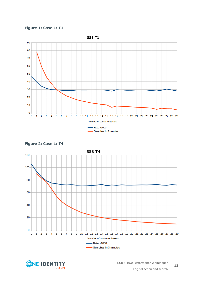







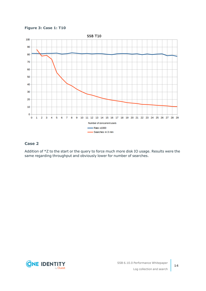**Figure 3: Case 1: T10**



### **Case 2**

Addition of \*Z to the start or the query to force much more disk IO usage. Results were the same regarding throughput and obviously lower for number of searches.

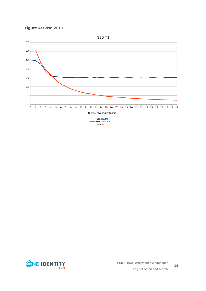



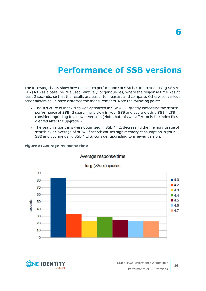## **Performance of SSB versions**

<span id="page-15-0"></span>The following charts show how the search performance of SSB has improved, using SSB 4 LTS (4.0) as a baseline. We used relatively longer queries, where the response time was at least 2 seconds, so that the results are easier to measure and compare. Otherwise, various other factors could have distorted the measurements. Note the following point:

- The structure of index files was optimized in SSB 4 F2, greatly increasing the search performance of SSB. If searching is slow in your SSB and you are using SSB 4 LTS, consider upgrading to a newer version. (Note that this will affect only the index files created after the upgrade.)
- The search algorithms were optimized in SSB 4 F2, decreasing the memory usage of search by an average of 80%. If search causes high memory consumption in your SSB and you are using SSB 4 LTS, consider upgrading to a newer version.



#### **Figure 5: Average response time**

**ONE IDENT** 

### Average response time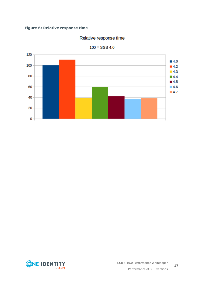### **Figure 6: Relative response time**

### Relative response time



 $100 = SSB 4.0$ 

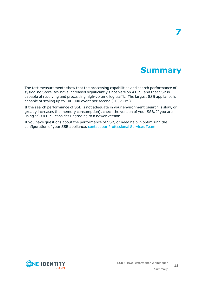## **Summary**

<span id="page-17-0"></span>The test measurements show that the processing capabilities and search performance of syslog-ng Store Box have increased significantly since version 4 LTS, and that SSB is capable of receiving and processing high-volume log traffic. The largest SSB appliance is capable of scaling up to 100,000 event per second (100k EPS).

If the search performance of SSB is not adequate in your environment (search is slow, or greatly increases the memory consumption), check the version of your SSB. If you are using SSB 4 LTS, consider upgrading to a newer version.

If you have questions about the performance of SSB, or need help in optimizing the configuration of your SSB appliance, contact our [Professional](https://support.oneidentity.com/professional-services-product-select) Services Team.

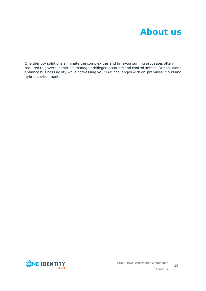<span id="page-18-0"></span>One Identity solutions eliminate the complexities and time-consuming processes often required to govern identities, manage privileged accounts and control access. Our solutions enhance business agility while addressing your IAM challenges with on-premises, cloud and hybrid environments.

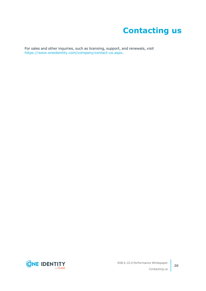# **Contacting us**

<span id="page-19-0"></span>For sales and other inquiries, such as licensing, support, and renewals, visit [https://www.oneidentity.com/company/contact-us.aspx.](https://www.oneidentity.com/company/contact-us.aspx)

**ONE IDENTITY** by **Quest**